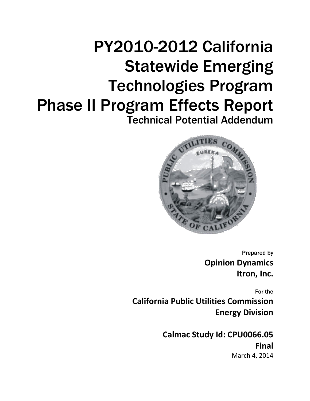# PY2010-2012 California Statewide Emerging Technologies Program Phase II Program Effects Report Technical Potential Addendum



Prepared by **Opinion Dynamics Itron, Inc.**

For the **California Public Utilities Commission Energy Division**

> **Calmac Study Id: CPU0066.05 Final** March 4, 2014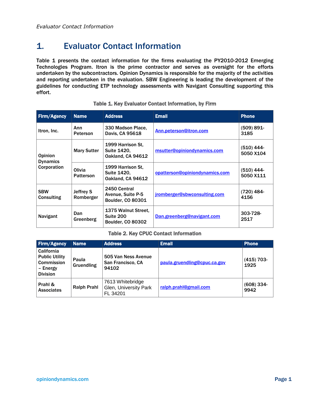# 1. Evaluator Contact Information

[Table 1](#page-1-0) presents the contact information for the firms evaluating the PY2010-2012 Emerging Technologies Program. Itron is the prime contractor and serves as oversight for the efforts undertaken by the subcontractors. Opinion Dynamics is responsible for the majority of the activities and reporting undertaken in the evaluation. SBW Engineering is leading the development of the guidelines for conducting ETP technology assessments with Navigant Consulting supporting this effort.

<span id="page-1-0"></span>

| <b>Firm/Agency</b>                               | <b>Name</b>                   | <b>Address</b>                                                      | <b>Email</b>                   | <b>Phone</b>              |
|--------------------------------------------------|-------------------------------|---------------------------------------------------------------------|--------------------------------|---------------------------|
| Itron, Inc.                                      | Ann<br><b>Peterson</b>        | 330 Madson Place,<br>Davis, CA 95618                                | Ann.peterson@itron.com         | $(509) 891 -$<br>3185     |
| <b>Opinion</b><br><b>Dynamics</b><br>Corporation | <b>Mary Sutter</b>            | 1999 Harrison St.<br><b>Suite 1420.</b><br><b>Oakland, CA 94612</b> | msutter@opiniondynamics.com    | (510) 444-<br>5050 X104   |
|                                                  | Olivia<br><b>Patterson</b>    | 1999 Harrison St.<br><b>Suite 1420.</b><br>Oakland, CA 94612        | opatterson@opiniondynamics.com | $(510)$ 444-<br>5050 X111 |
| <b>SBW</b><br>Consulting                         | <b>Jeffrey S</b><br>Romberger | 2450 Central<br>Avenue, Suite P-5<br><b>Boulder, CO 80301</b>       | jromberger@sbwconsulting.com   | (720) 484-<br>4156        |
| Navigant                                         | Dan<br>Greenberg              | 1375 Walnut Street.<br>Suite 200<br><b>Boulder, CO 80302</b>        | Dan.greenberg@navigant.com     | 303-728-<br>2517          |

#### Table 1. Key Evaluator Contact Information, by Firm

#### Table 2. Key CPUC Contact Information

| <b>Firm/Agency</b>                                                                      | <b>Name</b>         | <b>Address</b>                                        | <b>Email</b>                 | <b>Phone</b>         |
|-----------------------------------------------------------------------------------------|---------------------|-------------------------------------------------------|------------------------------|----------------------|
| California<br><b>Public Utility</b><br><b>Commission</b><br>- Energy<br><b>Division</b> | Paula<br>Gruendling | 505 Van Ness Avenue<br>San Francisco, CA<br>94102     | paula.gruendling@cpuc.ca.gov | $(415)$ 703-<br>1925 |
| Prahl &<br><b>Associates</b>                                                            | <b>Ralph Prahl</b>  | 7613 Whitebridge<br>Glen, University Park<br>FL 34201 | ralph.prahl@gmail.com        | $(608)$ 334-<br>9942 |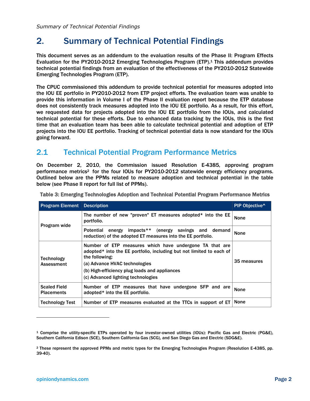# 2. Summary of Technical Potential Findings

This document serves as an addendum to the evaluation results of the Phase II: Program Effects Evaluation for the PY2010-2012 Emerging Technologies Program (ETP).<sup>1</sup> This addendum provides technical potential findings from an evaluation of the effectiveness of the PY2010-2012 Statewide Emerging Technologies Program (ETP).

The CPUC commissioned this addendum to provide technical potential for measures adopted into the IOU EE portfolio in PY2010-2012 from ETP project efforts. The evaluation team was unable to provide this information in Volume I of the Phase II evaluation report because the ETP database does not consistently track measures adopted into the IOU EE portfolio. As a result, for this effort, we requested data for projects adopted into the IOU EE portfolio from the IOUs, and calculated technical potential for these efforts. Due to enhanced data tracking by the IOUs, this is the first time that an evaluation team has been able to calculate technical potential and adoption of ETP projects into the IOU EE portfolio. Tracking of technical potential data is now standard for the IOUs going forward.

## 2.1 Technical Potential Program Performance Metrics

On December 2, 2010, the Commission issued Resolution E-4385, approving program performance metrics<sup>2</sup> for the four IOUs for PY2010-2012 statewide energy efficiency programs. Outlined below are the PPMs related to measure adoption and technical potential in the table below (see Phase II report for full list of PPMs).

| <b>Program Element</b>                   | <b>Description</b>                                                                                                                                                                                                                                                        | PIP Objective <sup>^</sup> |
|------------------------------------------|---------------------------------------------------------------------------------------------------------------------------------------------------------------------------------------------------------------------------------------------------------------------------|----------------------------|
| Program wide                             | The number of new "proven" ET measures adopted* into the EE<br>portfolio.                                                                                                                                                                                                 | None                       |
|                                          | Potential energy impacts** (energy savings and demand<br>reduction) of the adopted ET measures into the EE portfolio.                                                                                                                                                     | <b>None</b>                |
| Technology<br>Assessment                 | Number of ETP measures which have undergone TA that are<br>adopted* into the EE portfolio, including but not limited to each of<br>the following:<br>(a) Advance HVAC technologies<br>(b) High-efficiency plug loads and appliances<br>(c) Advanced lighting technologies | 35 measures                |
| <b>Scaled Field</b><br><b>Placements</b> | Number of ETP measures that have undergone SFP and are<br>adopted* into the EE portfolio.                                                                                                                                                                                 | None                       |
| Technology Test                          | Number of ETP measures evaluated at the TTCs in support of ET                                                                                                                                                                                                             | None                       |

Table 3: Emerging Technologies Adoption and Technical Potential Program Performance Metrics

 $\overline{\phantom{a}}$ 

<sup>1</sup> Comprise the utility-specific ETPs operated by four investor-owned utilities (IOUs): Pacific Gas and Electric (PG&E), Southern California Edison (SCE), Southern California Gas (SCG), and San Diego Gas and Electric (SDG&E).

<sup>2</sup> These represent the approved PPMs and metric types for the Emerging Technologies Program (Resolution E-4385, pp. 39-40).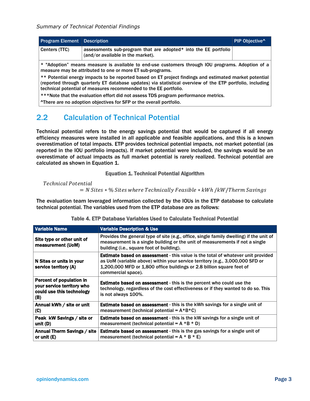| <b>Program Element   Description  </b> |                                                                                                                    | PIP Objective <sup>^</sup> |
|----------------------------------------|--------------------------------------------------------------------------------------------------------------------|----------------------------|
| Centers (TTC)                          | assessments sub-program that are adopted* into the EE portfolio<br>$\frac{1}{2}$ (and/or available in the market). |                            |

\* "Adoption" means measure is available to end-use customers through IOU programs. Adoption of a measure may be attributed to one or more ET sub-programs.

\*\* Potential energy impacts to be reported based on ET project findings and estimated market potential (reported through quarterly ET database updates) via statistical overview of the ETP portfolio, including technical potential of measures recommended to the EE portfolio.

\*\*\*Note that the evaluation effort did not assess TDS program performance metrics.

^There are no adoption objectives for SFP or the overall portfolio.

## 2.2 Calculation of Technical Potential

Technical potential refers to the energy savings potential that would be captured if all energy efficiency measures were installed in all applicable and feasible applications, and this is a known overestimation of total impacts. ETP provides technical potential impacts, not market potential (as reported in the IOU portfolio impacts). If market potential were included, the savings would be an overestimate of actual impacts as full market potential is rarely realized. Technical potential are calculated as shown in [Equation 1.](#page-3-0)

#### Equation 1. Technical Potential Algorithm

<span id="page-3-0"></span>**Technical Potential**  $N = N$  Sites  $*$ % Sites where Technically Feasible  $*$  kWh /kW/Therm Savings

The evaluation team leveraged information collected by the IOUs in the ETP database to calculate technical potential. The variables used from the ETP database are as follows:

| <b>Variable Name</b>                                                                       | <b>Variable Description &amp; Use</b>                                                                                                                                                                                                                                   |
|--------------------------------------------------------------------------------------------|-------------------------------------------------------------------------------------------------------------------------------------------------------------------------------------------------------------------------------------------------------------------------|
| Site type or other unit of<br>measurement (UoM)                                            | Provides the general type of site (e.g., office, single family dwelling) if the unit of<br>measurement is a single building or the unit of measurements if not a single<br>building (i.e., square foot of building).                                                    |
| N Sites or units in your<br>service territory (A)                                          | <b>Estimate based on assessment</b> - this value is the total of whatever unit provided<br>as UoM (variable above) within your service territory (e.g., 3,000,000 SFD or<br>1,200,000 MFD or 1,800 office buildings or 2.8 billion square feet of<br>commercial space). |
| Percent of population in<br>your service territory who<br>could use this technology<br>(B) | <b>Estimate based on assessment</b> - this is the percent who could use the<br>technology, regardless of the cost effectiveness or if they wanted to do so. This<br>is not always 100%.                                                                                 |
| Annual kWh / site or unit<br>(C)                                                           | Estimate based on assessment - this is the kWh savings for a single unit of<br>measurement (technical potential = $A*B*C$ )                                                                                                                                             |
| Peak kW Savings / site or<br>unit (D)                                                      | <b>Estimate based on assessment</b> - this is the kW savings for a single unit of<br>measurement (technical potential = $A * B * D$ )                                                                                                                                   |
| Annual Therm Savings / site<br>or unit (E)                                                 | <b>Estimate based on assessment</b> - this is the gas savings for a single unit of<br>measurement (technical potential = $A * B * E$ )                                                                                                                                  |

#### Table 4. ETP Database Variables Used to Calculate Technical Potential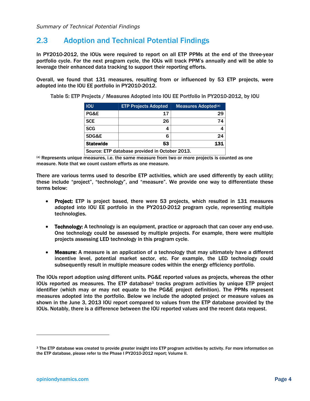## 2.3 Adoption and Technical Potential Findings

In PY2010-2012, the IOUs were required to report on all ETP PPMs at the end of the three-year portfolio cycle. For the next program cycle, the IOUs will track PPM's annually and will be able to leverage their enhanced data tracking to support their reporting efforts.

Overall, we found that 131 measures, resulting from or influenced by 53 ETP projects, were adopted into the IOU EE portfolio in PY2010-2012.

| Table 5: ETP Projects / Measures Adopted into IOU EE Portfolio in PY2010-2012, by IOU |
|---------------------------------------------------------------------------------------|
|---------------------------------------------------------------------------------------|

| <b>IOU</b>                                     | <b>ETP Projects Adopted</b> | Measures Adopted <sup>(a)</sup> |  |  |  |  |
|------------------------------------------------|-----------------------------|---------------------------------|--|--|--|--|
| PG&E                                           | 17                          | 29                              |  |  |  |  |
| <b>SCE</b>                                     | 26                          | 74                              |  |  |  |  |
| <b>SCG</b>                                     | 4                           |                                 |  |  |  |  |
| <b>SDG&amp;E</b>                               | 6                           | 24                              |  |  |  |  |
| <b>Statewide</b>                               | 53                          | 131                             |  |  |  |  |
| Source: ETP database provided in October 2013. |                             |                                 |  |  |  |  |

(a) Represents unique measures, i.e. the same measure from two or more projects is counted as one measure. Note that we count custom efforts as one measure.

There are various terms used to describe ETP activities, which are used differently by each utility; these include "project", "technology", and "measure". We provide one way to differentiate these terms below:

- Project: ETP is project based, there were 53 projects, which resulted in 131 measures adopted into IOU EE portfolio in the PY2010-2012 program cycle, representing multiple technologies.
- Technology: A technology is an equipment, practice or approach that can cover any end-use. One technology could be assessed by multiple projects. For example, there were multiple projects assessing LED technology in this program cycle.
- Measure: A measure is an application of a technology that may ultimately have a different incentive level, potential market sector, etc. For example, the LED technology could subsequently result in multiple measure codes within the energy efficiency portfolio.

The IOUs report adoption using different units. PG&E reported values as projects, whereas the other IOUs reported as measures. The ETP database<sup>3</sup> tracks program activities by unique ETP project identifier (which may or may not equate to the PG&E project definition). The PPMs represent measures adopted into the portfolio. Below we include the adopted project or measure values as shown in the June 3, 2013 IOU report compared to values from the ETP database provided by the IOUs. Notably, there is a difference between the IOU reported values and the recent data request.

 $\overline{\phantom{a}}$ 

<sup>3</sup> The ETP database was created to provide greater insight into ETP program activities by activity. For more information on the ETP database, please refer to the Phase I PY2010-2012 report; Volume II.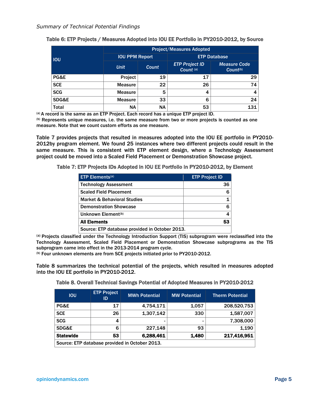|              | <b>Project/Measures Adopted</b> |           |                                    |                                      |  |  |
|--------------|---------------------------------|-----------|------------------------------------|--------------------------------------|--|--|
| <b>IOU</b>   | <b>IOU PPM Report</b>           |           | <b>ETP Database</b>                |                                      |  |  |
|              | <b>Unit</b>                     | Count     | <b>ETP Project ID</b><br>Count (a) | Measure Code<br>Count <sup>(b)</sup> |  |  |
| PG&E         | Project                         | 19        | 17                                 | 29                                   |  |  |
| <b>SCE</b>   | <b>Measure</b>                  | 22        | 26                                 | 74                                   |  |  |
| <b>SCG</b>   | <b>Measure</b>                  | 5         | 4                                  | 4                                    |  |  |
| SDG&E        | <b>Measure</b>                  | 33        | 6                                  | 24                                   |  |  |
| <b>Total</b> | <b>NA</b>                       | <b>NA</b> | 53                                 | 131                                  |  |  |

| Table 6: ETP Projects / Measures Adopted into IOU EE Portfolio in PY2010-2012, by Source |  |  |  |
|------------------------------------------------------------------------------------------|--|--|--|
|                                                                                          |  |  |  |

(a) A record is the same as an ETP Project. Each record has a unique ETP project ID.

(b) Represents unique measures, i.e. the same measure from two or more projects is counted as one measure. Note that we count custom efforts as one measure.

[Table 7](#page-5-0) provides projects that resulted in measures adopted into the IOU EE portfolio in PY2010- 2012by program element. We found 25 instances where two different projects could result in the same measure. This is consistent with ETP element design, where a Technology Assessment project could be moved into a Scaled Field Placement or Demonstration Showcase project.

<span id="page-5-0"></span>Table 7: ETP Projects IDs Adopted in IOU EE Portfolio in PY2010-2012, by Element

| $ETP$ Elements <sup>(a)</sup>                  | <b>ETP Project ID</b> |
|------------------------------------------------|-----------------------|
| <b>Technology Assessment</b>                   | 36                    |
| <b>Scaled Field Placement</b>                  |                       |
| <b>Market &amp; Behavioral Studies</b>         |                       |
| <b>Demonstration Showcase</b>                  |                       |
| Unknown Element <sup>(b)</sup>                 |                       |
| <b>All Elements</b>                            | 53                    |
| Source: ETP database provided in October 2013. |                       |

(a) Projects classified under the Technology Introduction Support (TIS) subprogram were reclassified into the Technology Assessment, Scaled Field Placement or Demonstration Showcase subprograms as the TIS subprogram came into effect in the 2013-2014 program cycle.

(b) Four unknown elements are from SCE projects initiated prior to PY2010-2012.

<span id="page-5-1"></span>[Table 8](#page-5-1) summarizes the technical potential of the projects, which resulted in measures adopted into the IOU EE portfolio in PY2010-2012.

|  |  |  |  | Table 8. Overall Technical Savings Potential of Adopted Measures in PY2010-2012 |
|--|--|--|--|---------------------------------------------------------------------------------|
|  |  |  |  |                                                                                 |

| <b>IOU</b>                                     | <b>ETP Project</b><br>ID | <b>MWh Potential</b> | <b>MW Potential</b> | <b>Therm Potential</b> |  |  |
|------------------------------------------------|--------------------------|----------------------|---------------------|------------------------|--|--|
| PG&E                                           | 17                       | 4,754,171            | 1,057               | 208,520,753            |  |  |
| <b>SCE</b>                                     | 26                       | 1,307,142            | 330                 | 1,587,007              |  |  |
| <b>SCG</b>                                     | 4                        |                      |                     | 7,308,000              |  |  |
| SDG&E                                          | 6                        | 227,148              | 93                  | 1,190                  |  |  |
| <b>Statewide</b>                               | 53                       | 6,288,461            | 1,480               | 217,416,951            |  |  |
| Source: ETP database provided in October 2013. |                          |                      |                     |                        |  |  |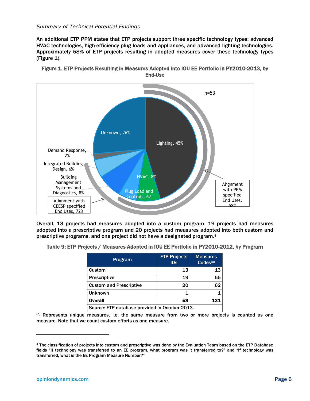#### *Summary of Technical Potential Findings*

An additional ETP PPM states that ETP projects support three specific technology types: advanced HVAC technologies, high-efficiency plug loads and appliances, and advanced lighting technologies. Approximately 58% of ETP projects resulting in adopted measures cover these technology types [\(Figure 1\)](#page-6-0).



<span id="page-6-0"></span>Figure 1. ETP Projects Resulting in Measures Adopted into IOU EE Portfolio in PY2010-2013, by End-Use

Overall, 13 projects had measures adopted into a custom program, 19 projects had measures adopted into a prescriptive program and 20 projects had measures adopted into both custom and prescriptive programs, and one project did not have a designated program. 4

Table 9: ETP Projects / Measures Adopted in IOU EE Portfolio in PY2010-2012, by Program

| Program                                        | <b>ETP Projects</b><br>ID <sub>S</sub> | <b>Measures</b><br>CodeS <sup>(a)</sup> |  |  |  |  |  |  |
|------------------------------------------------|----------------------------------------|-----------------------------------------|--|--|--|--|--|--|
| Custom                                         | 13                                     | 13                                      |  |  |  |  |  |  |
| <b>Prescriptive</b>                            | 19                                     | 55                                      |  |  |  |  |  |  |
| <b>Custom and Prescriptive</b>                 | 20                                     | 62                                      |  |  |  |  |  |  |
| <b>Unknown</b>                                 |                                        | 1                                       |  |  |  |  |  |  |
| <b>Overall</b>                                 | 53                                     | 131                                     |  |  |  |  |  |  |
| Source: ETP database provided in October 2013. |                                        |                                         |  |  |  |  |  |  |

(a) Represents unique measures, i.e. the same measure from two or more projects is counted as one measure. Note that we count custom efforts as one measure.

<sup>4</sup> The classification of projects into custom and prescriptive was done by the Evaluation Team based on the ETP Database fields "If technology was transferred to an EE program, what program was it transferred to?" and "If technology was transferred, what is the EE Program Measure Number?"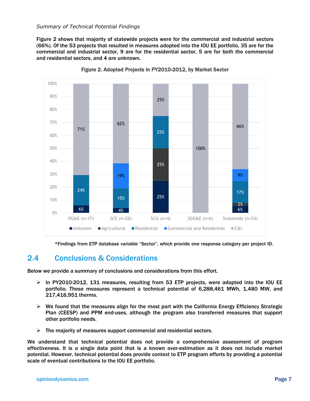#### *Summary of Technical Potential Findings*

[Figure 2](#page-7-0) shows that majority of statewide projects were for the commercial and industrial sectors (66%). Of the 53 projects that resulted in measures adopted into the IOU EE portfolio, 35 are for the commercial and industrial sector, 9 are for the residential sector, 5 are for both the commercial and residential sectors, and 4 are unknown.

<span id="page-7-0"></span>

Figure 2. Adopted Projects in PY2010-2012, by Market Sector

\*Findings from ETP database variable "Sector", which provide one response category per project ID.

## 2.4 Conclusions & Considerations

Below we provide a summary of conclusions and considerations from this effort.

- $\triangleright$  In PY2010-2012, 131 measures, resulting from 53 ETP projects, were adopted into the IOU EE portfolio. These measures represent a technical potential of 6,288,461 MWh, 1,480 MW, and 217,416,951 therms.
- $\triangleright$  We found that the measures align for the most part with the California Energy Efficiency Strategic Plan (CEESP) and PPM end-uses, although the program also transferred measures that support other portfolio needs.
- $\triangleright$  The majority of measures support commercial and residential sectors.

We understand that technical potential does not provide a comprehensive assessment of program effectiveness. It is a single data point that is a known over-estimation as it does not include market potential. However, technical potential does provide context to ETP program efforts by providing a potential scale of eventual contributions to the IOU EE portfolio.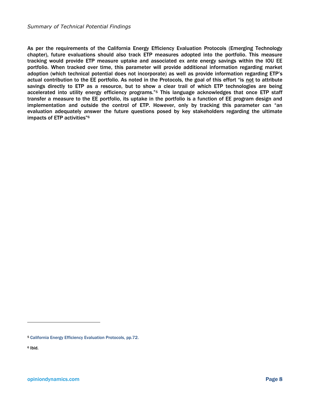As per the requirements of the California Energy Efficiency Evaluation Protocols (Emerging Technology chapter), future evaluations should also track ETP measures adopted into the portfolio. This measure tracking would provide ETP measure uptake and associated ex ante energy savings within the IOU EE portfolio. When tracked over time, this parameter will provide additional information regarding market adoption (which technical potential does not incorporate) as well as provide information regarding ETP's actual contribution to the EE portfolio. As noted in the Protocols, the goal of this effort "is not to attribute savings directly to ETP as a resource, but to show a clear trail of which ETP technologies are being accelerated into utility energy efficiency programs."<sup>5</sup> This language acknowledges that once ETP staff transfer a measure to the EE portfolio, its uptake in the portfolio is a function of EE program design and implementation and outside the control of ETP. However, only by tracking this parameter can "an evaluation adequately answer the future questions posed by key stakeholders regarding the ultimate impacts of ETP activities"<sup>6</sup>

<sup>5</sup> California Energy Efficiency Evaluation Protocols, pp.72.

<sup>6</sup> Ibid.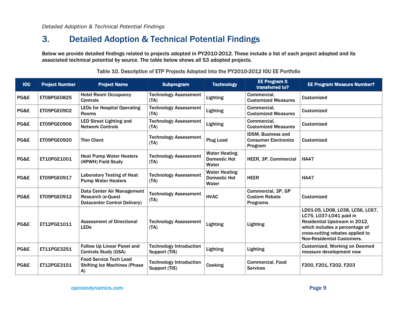# 3. Detailed Adoption & Technical Potential Findings

Below we provide detailed findings related to projects adopted in PY2010-2012. These include a list of each project adopted and its associated technical potential by source. The table below shows all 53 adopted projects.

| <b>IOU</b> | <b>Project Number</b> | <b>Project Name</b>                                                                            | <b>Subprogram</b>                               | <b>Technology</b>                                    | <b>EE Program it</b><br>transferred to?                       | <b>EE Program Measure Number?</b>                                                                                                                                                                       |
|------------|-----------------------|------------------------------------------------------------------------------------------------|-------------------------------------------------|------------------------------------------------------|---------------------------------------------------------------|---------------------------------------------------------------------------------------------------------------------------------------------------------------------------------------------------------|
| PG&E       | ET08PGE0825           | <b>Hotel Room Occupancy</b><br><b>Controls</b>                                                 | <b>Technology Assessment</b><br>(TA)            | Lighting                                             | Commercial,<br><b>Customized Measures</b>                     | <b>Customized</b>                                                                                                                                                                                       |
| PG&E       | ET09PGE0902           | <b>LEDs for Hospital Operating</b><br><b>Rooms</b>                                             | <b>Technology Assessment</b><br>(TA)            | Lighting                                             | Commercial,<br><b>Customized Measures</b>                     | Customized                                                                                                                                                                                              |
| PG&E       | ET09PGE0906           | <b>LED Street Lighting and</b><br><b>Network Controls</b>                                      | <b>Technology Assessment</b><br>(TA)            | Lighting                                             | Commercial,<br><b>Customized Measures</b>                     | <b>Customized</b>                                                                                                                                                                                       |
| PG&E       | ET09PGE0920           | <b>Thin Client</b>                                                                             | <b>Technology Assessment</b><br>(TA)            | <b>Plug Load</b>                                     | IDSM, Business and<br><b>Consumer Electronics</b><br>Program  | Customized                                                                                                                                                                                              |
| PG&E       | ET10PGE1001           | <b>Heat Pump Water Heaters</b><br>(HPWH) Field Study                                           | <b>Technology Assessment</b><br>(TA)            | <b>Water Heating</b><br><b>Domestic Hot</b><br>Water | HEER, 3P, Commercial                                          | <b>HA47</b>                                                                                                                                                                                             |
| PG&E       | ET09PGE0917           | <b>Laboratory Testing of Heat</b><br><b>Pump Water Heaters</b>                                 | <b>Technology Assessment</b><br>(TA)            | <b>Water Heating</b><br><b>Domestic Hot</b><br>Water | <b>HEER</b>                                                   | <b>HA47</b>                                                                                                                                                                                             |
| PG&E       | ET09PGE0912           | Data Center Air Management<br><b>Research (e-Quest)</b><br><b>Datacenter Control Delivery)</b> | <b>Technology Assessment</b><br>(TA)            | <b>HVAC</b>                                          | Commercial, 3P, GP<br><b>Custom Rebate</b><br><b>Programs</b> | <b>Customized</b>                                                                                                                                                                                       |
| PG&E       | ET12PGE1011           | <b>Assessment of Directional</b><br><b>LEDs</b>                                                | <b>Technology Assessment</b><br>(TA)            | Lighting                                             | Lighting                                                      | LD01-05, LD08, L038, LC56, LC67,<br>LC75. LO37-LO41 paid in<br>Residential Upstream in 2012,<br>which includes a percentage of<br>cross-cutting rebates applied to<br><b>Non-Residential Customers.</b> |
| PG&E       | ET11PGE3251           | Follow Up Linear Panel and<br><b>Controls Study (GSA)</b>                                      | <b>Technology Introduction</b><br>Support (TIS) | Lighting                                             | <b>Lighting</b>                                               | <b>Customized, Working on Deemed</b><br>measure development now                                                                                                                                         |
| PG&E       | ET12PGE3151           | <b>Food Service Tech Load</b><br><b>Shifting Ice Machines (Phase</b><br>A)                     | <b>Technology Introduction</b><br>Support (TIS) | Cooking                                              | <b>Commercial, Food</b><br><b>Services</b>                    | F200, F201, F202, F203                                                                                                                                                                                  |

#### Table 10. Description of ETP Projects Adopted into the PY2010-2012 IOU EE Portfolio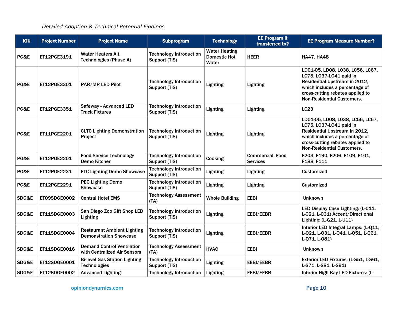| <b>IOU</b> | <b>Project Number</b> | <b>Project Name</b>                                                 | <b>Subprogram</b>                               | <b>Technology</b>                                    | <b>EE Program it</b><br>transferred to?    | <b>EE Program Measure Number?</b>                                                                                                                                                                       |
|------------|-----------------------|---------------------------------------------------------------------|-------------------------------------------------|------------------------------------------------------|--------------------------------------------|---------------------------------------------------------------------------------------------------------------------------------------------------------------------------------------------------------|
| PG&E       | ET12PGE3191           | <b>Water Heaters Alt.</b><br><b>Technologies (Phase A)</b>          | <b>Technology Introduction</b><br>Support (TIS) | <b>Water Heating</b><br><b>Domestic Hot</b><br>Water | <b>HEER</b>                                | <b>HA47, HA48</b>                                                                                                                                                                                       |
| PG&E       | ET12PGE3301           | PAR/MR LED Pilot                                                    | <b>Technology Introduction</b><br>Support (TIS) | Lighting                                             | Lighting                                   | LD01-05, LD08, L038, LC56, LC67,<br>LC75. L037-L041 paid in<br>Residential Upstream in 2012,<br>which includes a percentage of<br>cross-cutting rebates applied to<br><b>Non-Residential Customers.</b> |
| PG&E       | ET12PGE3351           | <b>Safeway - Advanced LED</b><br><b>Track Fixtures</b>              | <b>Technology Introduction</b><br>Support (TIS) | Lighting                                             | Lighting                                   | LC23                                                                                                                                                                                                    |
| PG&E       | ET11PGE2201           | <b>CLTC Lighting Demonstration</b><br>Project                       | <b>Technology Introduction</b><br>Support (TIS) | Lighting                                             | <b>Lighting</b>                            | LD01-05, LD08, L038, LC56, LC67,<br>LC75. LO37-LO41 paid in<br>Residential Upstream in 2012,<br>which includes a percentage of<br>cross-cutting rebates applied to<br><b>Non-Residential Customers.</b> |
| PG&E       | ET12PGE2201           | <b>Food Service Technology</b><br>Demo Kitchen                      | <b>Technology Introduction</b><br>Support (TIS) | Cooking                                              | <b>Commercial, Food</b><br><b>Services</b> | F203, F190, F206, F109, F101,<br>F188, F111                                                                                                                                                             |
| PG&E       | ET12PGE2231           | <b>ETC Lighting Demo Showcase</b>                                   | <b>Technology Introduction</b><br>Support (TIS) | Lighting                                             | <b>Lighting</b>                            | <b>Customized</b>                                                                                                                                                                                       |
| PG&E       | ET12PGE2291           | <b>PEC Lighting Demo</b><br><b>Showcase</b>                         | <b>Technology Introduction</b><br>Support (TIS) | Lighting                                             | <b>Lighting</b>                            | <b>Customized</b>                                                                                                                                                                                       |
| SDG&E      | ET09SDGE0002          | <b>Central Hotel EMS</b>                                            | <b>Technology Assessment</b><br>(TA)            | <b>Whole Building</b>                                | <b>EEBI</b>                                | <b>Unknown</b>                                                                                                                                                                                          |
| SDG&E      | ET11SDGE0003          | San Diego Zoo Gift Shop LED<br>Lighting                             | <b>Technology Introduction</b><br>Support (TIS) | Lighting                                             | EEBI/EEBR                                  | LED Display Case Lighting: (L-011,<br>L-021, L-031) Accent/Directional<br>Lighting: (L-G21, L-U11)                                                                                                      |
| SDG&E      | ET11SDGE0004          | <b>Restaurant Ambient Lighting</b><br><b>Demonstration Showcase</b> | <b>Technology Introduction</b><br>Support (TIS) | Lighting                                             | EEBI/EEBR                                  | Interior LED Integral Lamps: (L-Q11,<br>L-Q21, L-Q31, L-Q41, L-Q51, L-Q61,<br>L-Q71, L-Q81)                                                                                                             |
| SDG&E      | ET11SDGE0016          | <b>Demand Control Ventilation</b><br>with Centralized Air Sensors   | <b>Technology Assessment</b><br>(TA)            | <b>HVAC</b>                                          | <b>EEBI</b>                                | <b>Unknown</b>                                                                                                                                                                                          |
| SDG&E      | ET12SDGE0001          | <b>Bi-level Gas Station Lighting</b><br><b>Technologies</b>         | <b>Technology Introduction</b><br>Support (TIS) | Lighting                                             | EEBI/EEBR                                  | Exterior LED Fixtures: (L-S51, L-S61,<br>L-S71, L-S81, L-S91)                                                                                                                                           |
| SDG&E      | ET12SDGE0002          | <b>Advanced Lighting</b>                                            | <b>Technology Introduction</b>                  | Lighting                                             | EEBI/EEBR                                  | Interior High Bay LED Fixtures: (L-                                                                                                                                                                     |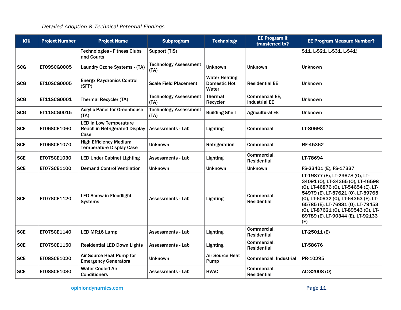| <b>IOU</b> | <b>Project Number</b> | <b>Project Name</b><br><b>Subprogram</b>                                      |                                      | <b>Technology</b>                                    | <b>EE Program it</b><br>transferred to?       | <b>EE Program Measure Number?</b>                                                                                                                                                                                                                                                                                  |  |  |
|------------|-----------------------|-------------------------------------------------------------------------------|--------------------------------------|------------------------------------------------------|-----------------------------------------------|--------------------------------------------------------------------------------------------------------------------------------------------------------------------------------------------------------------------------------------------------------------------------------------------------------------------|--|--|
|            |                       | <b>Technologies - Fitness Clubs</b><br>and Courts                             | Support (TIS)                        |                                                      |                                               | S11, L-S21, L-S31, L-S41)                                                                                                                                                                                                                                                                                          |  |  |
| <b>SCG</b> | <b>ET09SCG0005</b>    | Laundry Ozone Systems - (TA)                                                  | <b>Technology Assessment</b><br>(TA) | <b>Unknown</b>                                       | <b>Unknown</b>                                | <b>Unknown</b>                                                                                                                                                                                                                                                                                                     |  |  |
| <b>SCG</b> | ET10SCG0005           | <b>Energx Raydronics Control</b><br>(SFP)                                     | <b>Scale Field Placement</b>         | <b>Water Heating</b><br><b>Domestic Hot</b><br>Water | <b>Residential EE</b>                         | <b>Unknown</b>                                                                                                                                                                                                                                                                                                     |  |  |
| <b>SCG</b> | ET11SCG0001           | <b>Thermal Recycler (TA)</b>                                                  | <b>Technology Assessment</b><br>(TA) | <b>Thermal</b><br>Recycler                           | <b>Commercial EE,</b><br><b>Industrial EE</b> | <b>Unknown</b>                                                                                                                                                                                                                                                                                                     |  |  |
| <b>SCG</b> | ET11SCG0015           | <b>Acrylic Panel for Greenhouse</b><br>(TA)                                   | <b>Technology Assessment</b><br>(TA) | <b>Building Shell</b>                                | <b>Agricultural EE</b>                        | <b>Unknown</b>                                                                                                                                                                                                                                                                                                     |  |  |
| <b>SCE</b> | <b>ET06SCE1060</b>    | <b>LED in Low Temperature</b><br><b>Reach in Refrigerated Display</b><br>Case | Assessments - Lab                    | <b>Lighting</b>                                      | Commercial                                    | LT-80693                                                                                                                                                                                                                                                                                                           |  |  |
| <b>SCE</b> | <b>ET06SCE1070</b>    | <b>High Efficiency Medium</b><br><b>Temperature Display Case</b>              | <b>Unknown</b>                       | Refrigeration                                        | <b>Commercial</b>                             | RF-45362                                                                                                                                                                                                                                                                                                           |  |  |
| <b>SCE</b> | ET07SCE1030           | <b>LED Under Cabinet Lighting</b>                                             | Assessments - Lab                    | <b>Lighting</b>                                      | Commercial,<br><b>Residential</b>             | LT-78694                                                                                                                                                                                                                                                                                                           |  |  |
| <b>SCE</b> | ET07SCE1100           | <b>Demand Control Ventilation</b>                                             | <b>Unknown</b>                       | <b>Unknown</b>                                       | <b>Unknown</b>                                | FS-23401 (E), FS-17337                                                                                                                                                                                                                                                                                             |  |  |
| <b>SCE</b> | ET07SCE1120           | <b>LED Screw-in Floodlight</b><br><b>Systems</b>                              | Assessments - Lab                    | <b>Lighting</b>                                      | Commercial,<br><b>Residential</b>             | LT-19877 (E), LT-23678 (0), LT-<br>34091 (0), LT-34365 (0), LT-46598<br>(0), LT-46876 (0), LT-54654 (E), LT-<br>54979 (E), LT-57621 (0), LT-59765<br>(0), LT-60932 (0), LT-64353 (E), LT-<br>65785 (E), LT-76981 (0), LT-79453<br>(0), LT-87621 (0), LT-89543 (0), LT-<br>89789 (E), LT-90344 (E), LT-92133<br>(E) |  |  |
| <b>SCE</b> | ET07SCE1140           | <b>LED MR16 Lamp</b>                                                          | <b>Assessments - Lab</b>             | Lighting                                             | Commercial.<br><b>Residential</b>             | $LT-25011(E)$                                                                                                                                                                                                                                                                                                      |  |  |
| <b>SCE</b> | <b>ET07SCE1150</b>    | <b>Residential LED Down Lights</b>                                            | Assessments - Lab                    | <b>Lighting</b>                                      | Commercial,<br><b>Residential</b>             | LT-58676                                                                                                                                                                                                                                                                                                           |  |  |
| <b>SCE</b> | <b>ET08SCE1020</b>    | Air Source Heat Pump for<br><b>Emergency Generators</b>                       | Unknown                              | <b>Air Source Heat</b><br>Pump                       | <b>Commercial, Industrial</b>                 | PR-10295                                                                                                                                                                                                                                                                                                           |  |  |
| <b>SCE</b> | <b>ET08SCE1080</b>    | <b>Water Cooled Air</b><br><b>Conditioners</b>                                | Assessments - Lab                    | <b>HVAC</b>                                          | Commercial,<br><b>Residential</b>             | AC-32008 (0)                                                                                                                                                                                                                                                                                                       |  |  |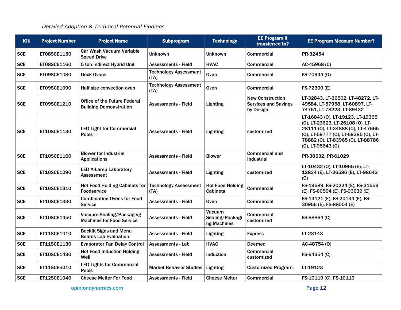| <b>IOU</b> | <b>Project Number</b> | <b>Project Name</b>                                                  | <b>Subprogram</b>                    | <b>Technology</b>                          | <b>EE Program it</b><br>transferred to?                             | <b>EE Program Measure Number?</b>                                                                                                                                                                                |
|------------|-----------------------|----------------------------------------------------------------------|--------------------------------------|--------------------------------------------|---------------------------------------------------------------------|------------------------------------------------------------------------------------------------------------------------------------------------------------------------------------------------------------------|
| <b>SCE</b> | ET08SCE1150           | Car Wash Vacuum Variable<br><b>Speed Drive</b>                       | <b>Unknown</b>                       | <b>Unknown</b>                             | <b>Commercial</b>                                                   | PR-32454                                                                                                                                                                                                         |
| <b>SCE</b> | ET08SCE1160           | 5 ton Indirect Hybrid Unit                                           | <b>Assessments - Field</b>           | <b>HVAC</b>                                | <b>Commercial</b>                                                   | AC-45968 (C)                                                                                                                                                                                                     |
| <b>SCE</b> | ET09SCE1080           | <b>Deck Ovens</b>                                                    | <b>Technology Assessment</b><br>(TA) | Oven                                       | <b>Commercial</b>                                                   | FS-70944 (0)                                                                                                                                                                                                     |
| <b>SCE</b> | <b>ET09SCE1090</b>    | Half size convection oven                                            | <b>Technology Assessment</b><br>(TA) | Oven                                       | <b>Commercial</b>                                                   | FS-72300 (E)                                                                                                                                                                                                     |
| <b>SCE</b> | ET09SCE1210           | <b>Office of the Future Federal</b><br><b>Building Demonstration</b> | <b>Assessments - Field</b>           | Lighting                                   | <b>New Construction</b><br><b>Services and Savings</b><br>by Design | LT-32843, LT-36502, LT-48272, LT-<br>49584, LT-57958, LT-60897, LT-<br>74751, LT-78223, LT-89432                                                                                                                 |
| <b>SCE</b> | ET10SCE1130           | <b>LED Light for Commercial</b><br><b>Pools</b>                      | <b>Assessments - Field</b>           | Lighting                                   | customized                                                          | LT-16843 (0), LT-19123, LT-19365<br>(0), LT-23623, LT-26108 (0), LT-<br>28111 (0), LT-34888 (0), LT-47665<br>(0), LT-59777 (0), LT-69385 (0), LT-<br>78882 (0), LT-83965 (0), LT-88786<br>$(0)$ , LT-95643 $(0)$ |
| <b>SCE</b> | ET10SCE1160           | <b>Blower for Industrial</b><br><b>Applications</b>                  | <b>Assessments - Field</b>           | <b>Blower</b>                              | <b>Commercial and</b><br>Industrial                                 | PR-38532, PR-61029                                                                                                                                                                                               |
| <b>SCE</b> | ET10SCE1290           | <b>LED A-Lamp Laboratory</b><br><b>Assessment</b>                    | <b>Assessments - Field</b>           | Lighting                                   | customized                                                          | LT-10432 (0), LT-10965 (E), LT-<br>12834 (E), LT-26586 (E), LT-98643<br>(0)                                                                                                                                      |
| <b>SCE</b> | ET10SCE1310           | <b>Hot Food Holding Cabinets for</b><br><b>Foodservice</b>           | <b>Technology Assessment</b><br>(TA) | <b>Hot Food Holding</b><br><b>Cabinets</b> | Commercial                                                          | FS-19589, FS-20224 (E), FS-31559<br>(E), FS-60594 (E), FS-93639 (E)                                                                                                                                              |
| <b>SCE</b> | ET10SCE1330           | <b>Combination Ovens for Food</b><br><b>Service</b>                  | <b>Assessments - Field</b>           | <b>Oven</b>                                | <b>Commercial</b>                                                   | FS-14121 (E), FS-20134 (E), FS-<br>30956 (E), FS-88004 (E)                                                                                                                                                       |
| <b>SCE</b> | <b>ET10SCE1450</b>    | Vacuum Sealing/Packaging<br><b>Machines for Food Service</b>         | <b>Assessments - Field</b>           | Vacuum<br>Sealing/Packagi<br>ng Machines   | <b>Commercial</b><br>customized                                     | FS-88864 (C)                                                                                                                                                                                                     |
| <b>SCE</b> | ET11SCE1010           | <b>Backlit Signs and Menu</b><br><b>Boards Lab Evaluation</b>        | <b>Assessments - Field</b>           | Lighting                                   | <b>Express</b>                                                      | LT-23143                                                                                                                                                                                                         |
| <b>SCE</b> | ET11SCE1130           | <b>Evaporator Fan Delay Control</b>                                  | <b>Assessments - Lab</b>             | <b>HVAC</b>                                | <b>Deemed</b>                                                       | AC-48754 (0)                                                                                                                                                                                                     |
| <b>SCE</b> | ET10SCE1430           | <b>Hot Food Induction Holding</b><br>Well                            | <b>Assessments - Field</b>           | Induction                                  | <b>Commercial</b><br>customized                                     | FS-94354 (C)                                                                                                                                                                                                     |
| <b>SCE</b> | ET11SCE5010           | <b>LED Lights for Commercial</b><br><b>Pools</b>                     | <b>Market Behavior Studies</b>       | Lighting                                   | <b>Customized Program.</b>                                          | LT-19123                                                                                                                                                                                                         |
| <b>SCE</b> | ET12SCE1040           | <b>Cheese Melter For Food</b>                                        | <b>Assessments - Field</b>           | <b>Cheese Melter</b>                       | <b>Commercial</b>                                                   | FS-10119 (C), FS-10119                                                                                                                                                                                           |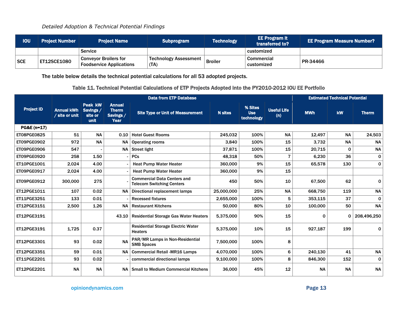| <b>IOU</b> | <b>Project Number</b> | <b>Project Name</b> \                                           | <b>Subprogram</b>                    | <b>Technology</b> | <b>EE Program it</b><br>transferred to? | <b>EE Program Measure Number?</b> |
|------------|-----------------------|-----------------------------------------------------------------|--------------------------------------|-------------------|-----------------------------------------|-----------------------------------|
|            |                       | <b>Service</b>                                                  |                                      |                   | customized                              |                                   |
| SCE        | <b>ET12SCE1080</b>    | <b>Conveyor Broilers for</b><br><b>Foodservice Applications</b> | <b>Technology Assessment</b><br>(TA) | <b>Broiler</b>    | <b>Commercial</b><br>customized         | PR-34466                          |

The table below details the technical potential calculations for all 53 adopted projects.

#### Table 11. Technical Potential Calculations of ETP Projects Adopted into the PY2010-2012 IOU EE Portfolio

|                    |                                     |                                         | <b>Estimated Technical Potential</b>               |                                                                        |                |                                     |                           |            |           |              |
|--------------------|-------------------------------------|-----------------------------------------|----------------------------------------------------|------------------------------------------------------------------------|----------------|-------------------------------------|---------------------------|------------|-----------|--------------|
| <b>Project ID</b>  | <b>Annual kWh</b><br>/ site or unit | Peak kW<br>Savings /<br>site or<br>unit | <b>Annual</b><br><b>Therm</b><br>Savings /<br>Year | <b>Site Type or Unit of Measurement</b>                                | <b>N</b> sites | % Sites<br><b>Use</b><br>technology | <b>Useful Life</b><br>(n) | <b>MWh</b> | kW        | <b>Therm</b> |
| PG&E (n=17)        |                                     |                                         |                                                    |                                                                        |                |                                     |                           |            |           |              |
| <b>ET08PGE0825</b> | 51                                  | <b>NA</b>                               | 0.10                                               | <b>Hotel Guest Rooms</b>                                               | 245,032        | 100%                                | <b>NA</b>                 | 12,497     | <b>NA</b> | 24,503       |
| ET09PGE0902        | 972                                 | <b>NA</b>                               | <b>NA</b>                                          | <b>Operating rooms</b>                                                 | 3.840          | 100%                                | 15                        | 3.732      | <b>NA</b> | <b>NA</b>    |
| ET09PGE0906        | 547                                 |                                         |                                                    | $NA$ Street light                                                      | 37,871         | 100%                                | 15                        | 20,715     | $\Omega$  | <b>NA</b>    |
| <b>ET09PGE0920</b> | 258                                 | 1.50                                    |                                                    | <b>PCs</b>                                                             | 48.318         | 50%                                 | $\overline{7}$            | 6.230      | 36        | 0            |
| ET10PGE1001        | 2,024                               | 4.00                                    |                                                    | <b>Heat Pump Water Heater</b>                                          | 360,000        | 9%                                  | 15                        | 65,578     | 130       | $\mathbf 0$  |
| ET09PGE0917        | 2,024                               | 4.00                                    |                                                    | <b>Heat Pump Water Heater</b>                                          | 360,000        | 9%                                  | 15                        |            |           |              |
| ET09PGE0912        | 300,000                             | 275                                     |                                                    | <b>Commercial Data Centers and</b><br><b>Telecom Switching Centers</b> | 450            | 50%                                 | 10                        | 67,500     | 62        | $\mathbf 0$  |
| ET12PGE1011        | 107                                 | 0.02                                    | <b>NA</b>                                          | Directional replacement lamps                                          | 25,000,000     | 25%                                 | <b>NA</b>                 | 668,750    | 119       | <b>NA</b>    |
| ET11PGE3251        | 133                                 | 0.01                                    |                                                    | <b>Recessed fixtures</b>                                               | 2,655,000      | 100%                                | 5                         | 353,115    | 37        | $\mathbf 0$  |
| ET12PGE3151        | 2.500                               | 1.26                                    | <b>NA</b>                                          | <b>Restaurant Kitchens</b>                                             | 50,000         | 80%                                 | 10                        | 100,000    | 50        | <b>NA</b>    |
| ET12PGE3191        |                                     |                                         |                                                    | 43.10   Residential Storage Gas Water Heaters                          | 5,375,000      | 90%                                 | 15                        | $\Omega$   | 0         | 208,496,250  |
| ET12PGE3191        | 1,725                               | 0.37                                    |                                                    | <b>Residential Storage Electric Water</b><br><b>Heaters</b>            | 5,375,000      | 10%                                 | 15                        | 927,187    | 199       | $\mathbf 0$  |
| ET12PGE3301        | 93                                  | 0.02                                    | <b>NA</b>                                          | PAR/MR Lamps in Non-Residential<br><b>SMB Spaces</b>                   | 7.500.000      | 100%                                | 8                         |            |           |              |
| ET12PGE3351        | 59                                  | 0.01                                    | <b>NA</b>                                          | <b>Commercial Retail -MR16 Lamps</b>                                   | 4,070,000      | 100%                                | 6                         | 240,130    | 41        | <b>NA</b>    |
| ET11PGE2201        | 93                                  | 0.02                                    |                                                    | commercial directional lamps                                           | 9,100,000      | 100%                                | 8                         | 846,300    | 152       | $\mathbf 0$  |
| ET12PGE2201        | <b>NA</b>                           | <b>NA</b>                               | <b>NA</b>                                          | Small to Medium Commercial Kitchens                                    | 36,000         | 45%                                 | 12                        | <b>NA</b>  | <b>NA</b> | <b>NA</b>    |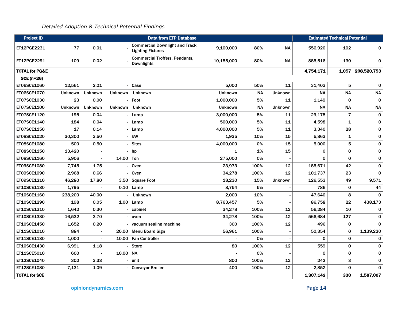| <b>Project ID</b>         |                |                |                | <b>Data from ETP Database</b>                                     |                |           |                |              | <b>Estimated Technical Potential</b> |              |
|---------------------------|----------------|----------------|----------------|-------------------------------------------------------------------|----------------|-----------|----------------|--------------|--------------------------------------|--------------|
| ET12PGE2231               | 77             | 0.01           |                | <b>Commercial Downlight and Track</b><br><b>Lighting Fixtures</b> | 9.100.000      | 80%       | <b>NA</b>      | 556,920      | 102                                  | 0            |
| ET12PGE2291               | 109            | 0.02           |                | <b>Commercial Troffers, Pendants,</b><br><b>Downlights</b>        | 10,155,000     | 80%       | <b>NA</b>      | 885.516      | 130                                  | $\mathbf 0$  |
| <b>TOTAL for PG&amp;E</b> |                |                |                |                                                                   |                |           |                | 4,754,171    | 1,057                                | 208,520,753  |
| <b>SCE (n=26)</b>         |                |                |                |                                                                   |                |           |                |              |                                      |              |
| ET06SCE1060               | 12,561         | 2.01           |                | Case                                                              | 5.000          | 50%       | 11             | 31,403       | 5                                    | $\mathbf 0$  |
| ET06SCE1070               | <b>Unknown</b> | <b>Unknown</b> | <b>Unknown</b> | <b>Unknown</b>                                                    | <b>Unknown</b> | <b>NA</b> | <b>Unknown</b> | <b>NA</b>    | <b>NA</b>                            | <b>NA</b>    |
| ET07SCE1030               | 23             | 0.00           |                | Foot                                                              | 1,000,000      | 5%        | 11             | 1,149        | 0                                    | $\pmb{0}$    |
| ET07SCE1100               | <b>Unknown</b> | Unknown        | <b>Unknown</b> | <b>Unknown</b>                                                    | Unknown        | <b>NA</b> | <b>Unknown</b> | <b>NA</b>    | <b>NA</b>                            | <b>NA</b>    |
| ET07SCE1120               | 195            | 0.04           |                | Lamp                                                              | 3.000.000      | 5%        | 11             | 29,175       | $\overline{7}$                       | $\mathbf 0$  |
| ET07SCE1140               | 184            | 0.04           |                | Lamp                                                              | 500,000        | 5%        | 11             | 4,598        | 1                                    | $\pmb{0}$    |
| ET07SCE1150               | 17             | 0.14           |                | Lamp                                                              | 4,000,000      | 5%        | 11             | 3,340        | 28                                   | $\mathbf 0$  |
| ET08SCE1020               | 30,300         | 3.50           |                | kW                                                                | 1,935          | 10%       | 15             | 5,863        | 1                                    | $\pmb{0}$    |
| ET08SCE1080               | 500            | 0.50           |                | <b>Sites</b>                                                      | 4,000,000      | 0%        | 15             | 5,000        | 5                                    | $\pmb{0}$    |
| ET08SCE1150               | 13,420         |                |                | hp                                                                | 1              | 1%        | 15             | $\mathbf{0}$ | 0                                    | $\pmb{0}$    |
| ET08SCE1160               | 5.906          |                | 14.00          | Ton                                                               | 275,000        | 0%        |                | $\Omega$     | $\mathbf 0$                          | $\mathbf 0$  |
| ET09SCE1080               | 7,745          | 1.75           |                | Oven                                                              | 23,973         | 100%      | 12             | 185.671      | 42                                   | $\mathbf 0$  |
| ET09SCE1090               | 2,968          | 0.66           |                | Oven                                                              | 34,278         | 100%      | 12             | 101.737      | 23                                   | $\mathbf 0$  |
| ET09SCE1210               | 46,280         | 17.80          | 3.50           | <b>Square Foot</b>                                                | 18,230         | 15%       | Unknown        | 126,553      | 49                                   | 9,571        |
| ET10SCE1130               | 1,795          |                | 0.10           | Lamp                                                              | 8,754          | 5%        |                | 786          | 0                                    | 44           |
| ET10SCE1160               | 238,200        | 40.00          |                | <b>Unknown</b>                                                    | 2,000          | 10%       |                | 47,640       | 8                                    | $\Omega$     |
| ET10SCE1290               | 198            | 0.05           | 1.00           | Lamp                                                              | 8,763,457      | 5%        |                | 86,758       | 22                                   | 438,173      |
| ET10SCE1310               | 1,642          | 0.30           |                | cabinet                                                           | 34,278         | 100%      | 12             | 56,284       | 10                                   | 0            |
| ET10SCE1330               | 16.532         | 3.70           |                | oven                                                              | 34,278         | 100%      | 12             | 566,684      | 127                                  | $\mathbf 0$  |
| ET10SCE1450               | 1,652          | 0.20           |                | vacuum sealing machine                                            | 300            | 100%      | 12             | 496          | 0                                    | $\Omega$     |
| ET11SCE1010               | 884            |                | 20.00          | <b>Menu Board Sign</b>                                            | 56,961         | 100%      |                | 50,354       | 0                                    | 1,139,220    |
| ET11SCE1130               | 1,000          |                | 10.00          | <b>Fan Controller</b>                                             |                | 0%        |                | $\Omega$     | $\mathbf 0$                          | 0            |
| ET10SCE1430               | 6.991          | 1.18           |                | <b>Store</b>                                                      | 80             | 100%      | 12             | 559          | 0                                    | 0            |
| ET11SCE5010               | 600            |                | 10.00          | <b>NA</b>                                                         |                | 0%        |                | $\Omega$     | $\mathbf 0$                          | $\mathbf 0$  |
| ET12SCE1040               | 302            | 3.33           |                | unit                                                              | 800            | 100%      | 12             | 242          | 3                                    | 0            |
| ET12SCE1080               | 7,131          | 1.09           |                | <b>Conveyor Broiler</b>                                           | 400            | 100%      | 12             | 2,852        | $\mathbf 0$                          | $\mathbf{0}$ |
| <b>TOTAL for SCE</b>      |                |                |                |                                                                   |                |           |                | 1,307,142    | 330                                  | 1,587,007    |